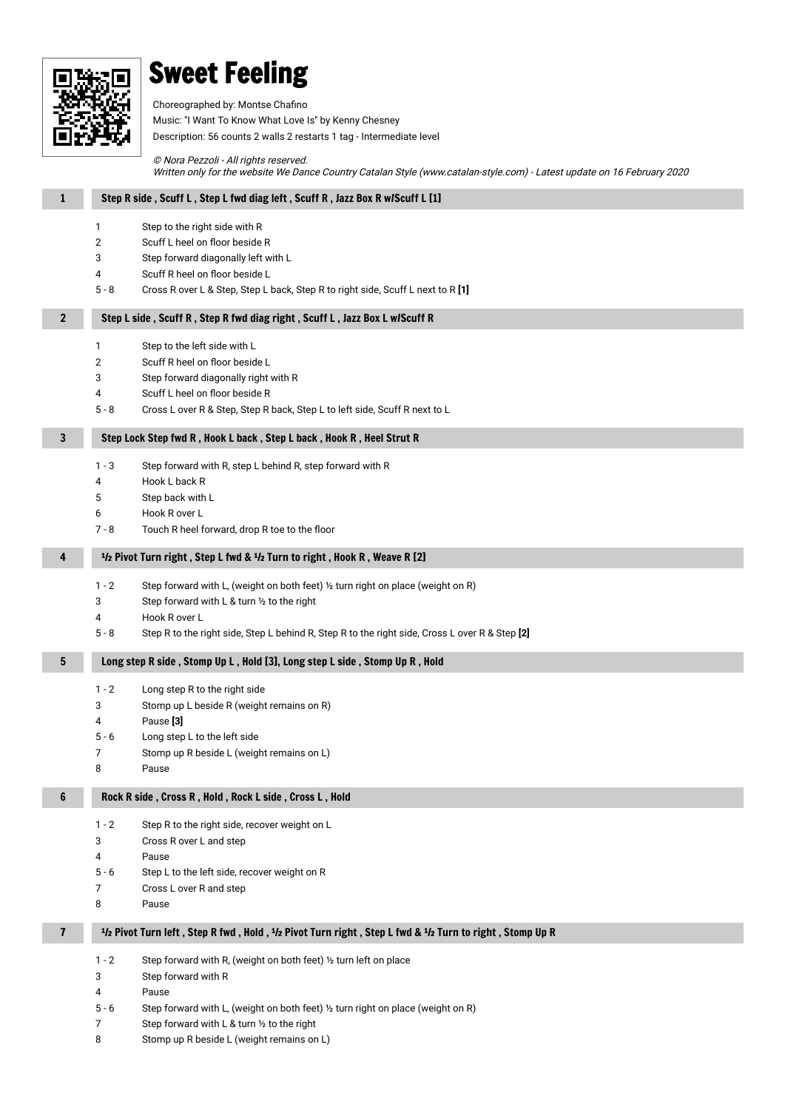

#### Sweet Feeling

Choreographed by: Montse Chafino Music: ''I Want To Know What Love Is'' by Kenny Chesney Description: 56 counts 2 walls 2 restarts 1 tag - Intermediate level

© Nora Pezzoli - All rights reserved. Written only for the website We Dance Country Catalan Style (www.catalan-style.com) - Latest update on 16 February 2020

| $\mathbf{1}$   | Step R side, Scuff L, Step L fwd diag left, Scuff R, Jazz Box R w/Scuff L [1]                                             |  |
|----------------|---------------------------------------------------------------------------------------------------------------------------|--|
|                | 1<br>Step to the right side with R                                                                                        |  |
|                | Scuff L heel on floor beside R<br>$\overline{2}$                                                                          |  |
|                | 3<br>Step forward diagonally left with L                                                                                  |  |
|                | Scuff R heel on floor beside L<br>4                                                                                       |  |
|                | $5 - 8$<br>Cross R over L & Step, Step L back, Step R to right side, Scuff L next to R [1]                                |  |
| $\overline{2}$ | Step L side, Scuff R, Step R fwd diag right, Scuff L, Jazz Box L w/Scuff R                                                |  |
|                | Step to the left side with L<br>1                                                                                         |  |
|                | $\mathbf{2}$<br>Scuff R heel on floor beside L                                                                            |  |
|                | 3<br>Step forward diagonally right with R                                                                                 |  |
|                | Scuff L heel on floor beside R<br>4                                                                                       |  |
|                | $5 - 8$<br>Cross L over R & Step, Step R back, Step L to left side, Scuff R next to L                                     |  |
| 3              | Step Lock Step fwd R, Hook L back, Step L back, Hook R, Heel Strut R                                                      |  |
|                | $1 - 3$<br>Step forward with R, step L behind R, step forward with R                                                      |  |
|                | Hook L back R<br>4                                                                                                        |  |
|                | 5<br>Step back with L                                                                                                     |  |
|                | 6<br>Hook R over L                                                                                                        |  |
|                | Touch R heel forward, drop R toe to the floor<br>$7 - 8$                                                                  |  |
|                |                                                                                                                           |  |
| 4              | <sup>1</sup> / <sub>2</sub> Pivot Turn right, Step L fwd & <sup>1</sup> / <sub>2</sub> Turn to right, Hook R, Weave R [2] |  |
|                | $1 - 2$<br>Step forward with L, (weight on both feet) 1/2 turn right on place (weight on R)                               |  |
|                | 3<br>Step forward with L & turn 1/2 to the right                                                                          |  |
|                | Hook R over L<br>4                                                                                                        |  |
|                | $5 - 8$<br>Step R to the right side, Step L behind R, Step R to the right side, Cross L over R & Step [2]                 |  |
| 5              | Long step R side, Stomp Up L, Hold [3], Long step L side, Stomp Up R, Hold                                                |  |
|                | $1 - 2$<br>Long step R to the right side                                                                                  |  |
|                | 3<br>Stomp up L beside R (weight remains on R)                                                                            |  |
|                | Pause <sup>[3]</sup><br>4                                                                                                 |  |
|                | $5 - 6$<br>Long step L to the left side                                                                                   |  |
|                | 7<br>Stomp up R beside L (weight remains on L)                                                                            |  |
|                | 8<br>Pause                                                                                                                |  |
| 6              | Rock R side, Cross R, Hold, Rock L side, Cross L, Hold                                                                    |  |
|                | $1 - 2$<br>Step R to the right side, recover weight on L                                                                  |  |
|                | 3<br>Cross R over L and step                                                                                              |  |
|                | 4<br>Pause                                                                                                                |  |
|                | $5 - 6$<br>Step L to the left side, recover weight on R                                                                   |  |
|                | 7<br>Cross L over R and step                                                                                              |  |
|                | 8<br>Pause                                                                                                                |  |
| $\mathbf{7}$   | 1/2 Pivot Turn left, Step R fwd, Hold, 1/2 Pivot Turn right, Step L fwd & 1/2 Turn to right, Stomp Up R                   |  |
|                | $1 - 2$<br>Step forward with R, (weight on both feet) 1/2 turn left on place                                              |  |
|                | Step forward with R<br>3                                                                                                  |  |
|                | 4<br>Pause                                                                                                                |  |
|                | $5 - 6$<br>Step forward with L, (weight on both feet) 1/2 turn right on place (weight on R)                               |  |
|                |                                                                                                                           |  |

- 7 Step forward with L & turn ½ to the right
- 8 Stomp up R beside L (weight remains on L)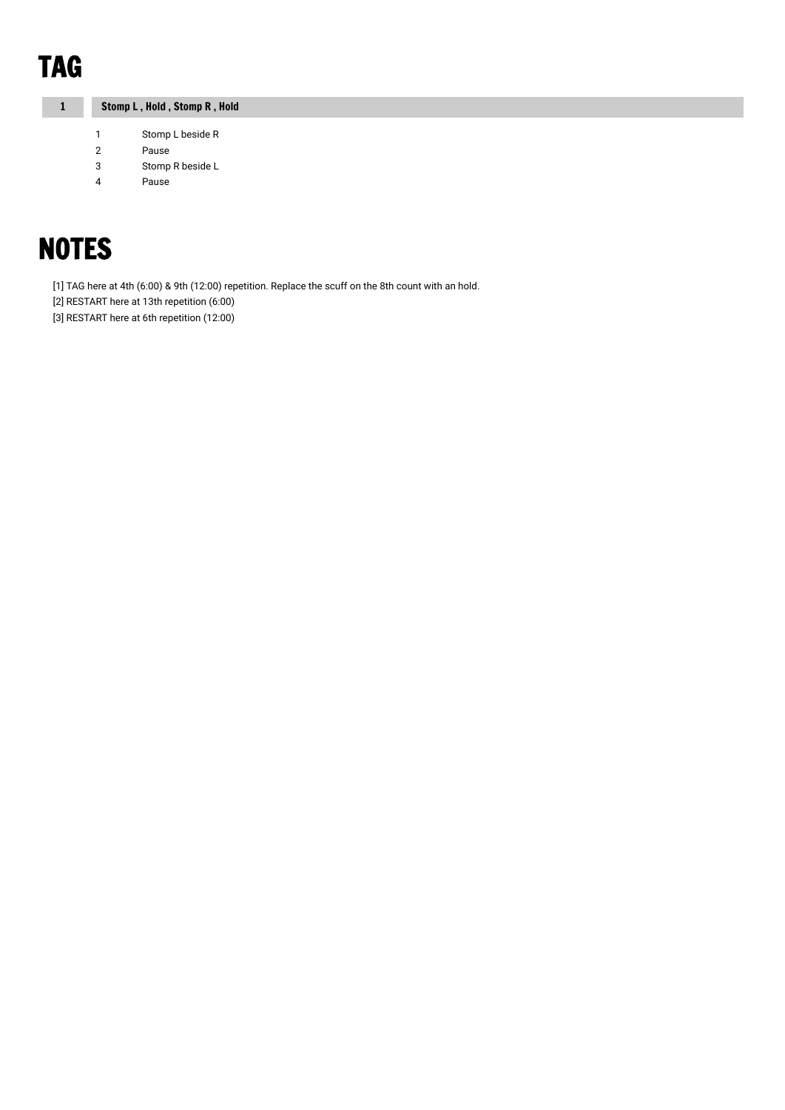# TAG

1 Stomp L , Hold , Stomp R , Hold

- 1 Stomp L beside R
- 2 Pause
- 3 Stomp R beside L
- 4 Pause

# **NOTES**

[1] TAG here at 4th (6:00) & 9th (12:00) repetition. Replace the scuff on the 8th count with an hold.

[2] RESTART here at 13th repetition (6:00)

[3] RESTART here at 6th repetition (12:00)